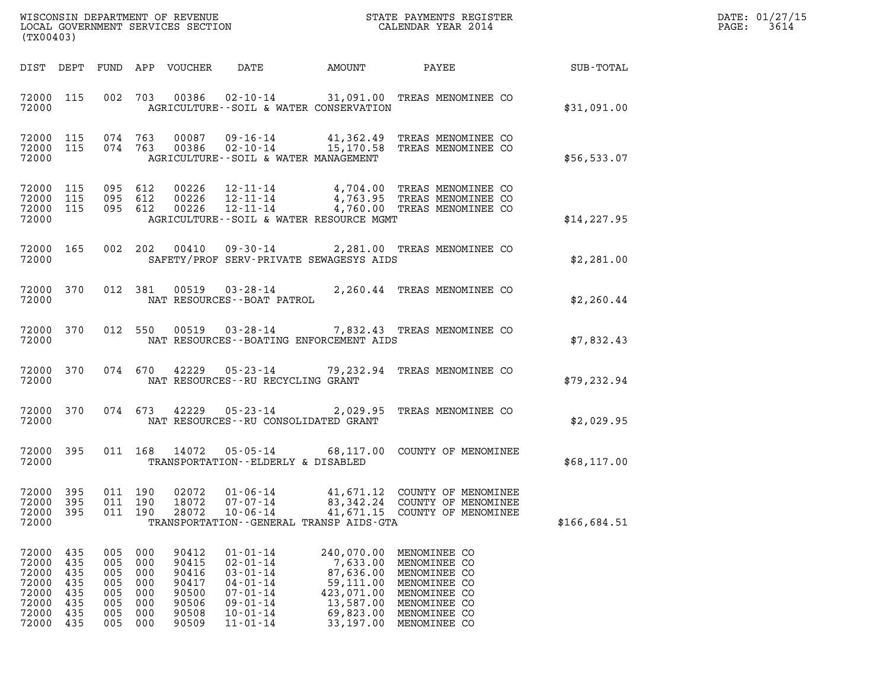| $\texttt{DATE}$ : | 01/27/15 |
|-------------------|----------|
| PAGE:             | 3614     |

| (TX00403)                                                                                                                                                                            |                                                                                                                                                                                                                                                                              |                                                                                                       |                                                                                                                                                                                                                                     |              | DATE: 01/27/15<br>3614<br>$\mathtt{PAGE:}$ |
|--------------------------------------------------------------------------------------------------------------------------------------------------------------------------------------|------------------------------------------------------------------------------------------------------------------------------------------------------------------------------------------------------------------------------------------------------------------------------|-------------------------------------------------------------------------------------------------------|-------------------------------------------------------------------------------------------------------------------------------------------------------------------------------------------------------------------------------------|--------------|--------------------------------------------|
| DIST DEPT                                                                                                                                                                            | FUND APP VOUCHER<br>DATE AMOUNT                                                                                                                                                                                                                                              |                                                                                                       | <b>PAYEE</b> FOR THE STATE OF THE STATE OF THE STATE OF THE STATE OF THE STATE OF THE STATE OF THE STATE OF THE STATE OF THE STATE OF THE STATE OF THE STATE OF THE STATE OF THE STATE OF THE STATE OF THE STATE OF THE STATE OF TH | SUB-TOTAL    |                                            |
| 72000 115<br>72000                                                                                                                                                                   | 002 703 00386 02-10-14 31,091.00 TREAS MENOMINEE CO<br>AGRICULTURE--SOIL & WATER CONSERVATION                                                                                                                                                                                |                                                                                                       |                                                                                                                                                                                                                                     | \$31,091.00  |                                            |
| 72000 115<br>72000 115<br>72000                                                                                                                                                      | 074  763  00087  09-16-14  41,362.49  TREAS MENOMINEE CO<br>074  763  00386  02-10-14  15,170.58  TREAS MENOMINEE CO<br>AGRICULTURE--SOIL & WATER MANAGEMENT                                                                                                                 |                                                                                                       |                                                                                                                                                                                                                                     | \$56,533.07  |                                            |
| 72000 115<br>72000 115<br>72000 115<br>72000                                                                                                                                         | 095 612<br>00226  12-11-14  4,704.00 TREAS MENOMINEE CO<br>00226  12-11-14  4,763.95 TREAS MENOMINEE CO<br>00226  12-11-14  4,760.00 TREAS MENOMINEE CO<br>095 612<br>095 612<br>AGRICULTURE--SOIL & WATER RESOURCE MGMT                                                     |                                                                                                       |                                                                                                                                                                                                                                     | \$14, 227.95 |                                            |
| 72000 165<br>72000                                                                                                                                                                   | 002 202 00410 09-30-14 2,281.00 TREAS MENOMINEE CO<br>SAFETY/PROF SERV-PRIVATE SEWAGESYS AIDS                                                                                                                                                                                |                                                                                                       |                                                                                                                                                                                                                                     | \$2,281.00   |                                            |
| 72000 370<br>72000                                                                                                                                                                   | 00519  03-28-14  2,260.44  TREAS MENOMINEE CO<br>012 381<br>NAT RESOURCES--BOAT PATROL                                                                                                                                                                                       |                                                                                                       |                                                                                                                                                                                                                                     | \$2,260.44   |                                            |
| 72000 370<br>72000                                                                                                                                                                   | 012 550 00519 03-28-14<br>NAT RESOURCES -- BOATING ENFORCEMENT AIDS                                                                                                                                                                                                          |                                                                                                       | 7,832.43 TREAS MENOMINEE CO                                                                                                                                                                                                         | \$7,832.43   |                                            |
| 72000 370<br>72000                                                                                                                                                                   | 074 670 42229 05-23-14 79, 232.94 TREAS MENOMINEE CO<br>NAT RESOURCES--RU RECYCLING GRANT                                                                                                                                                                                    |                                                                                                       |                                                                                                                                                                                                                                     | \$79, 232.94 |                                            |
| 72000 370<br>72000                                                                                                                                                                   | 074 673 42229 05-23-14 2,029.95 TREAS MENOMINEE CO<br>NAT RESOURCES - - RU CONSOLIDATED GRANT                                                                                                                                                                                |                                                                                                       |                                                                                                                                                                                                                                     | \$2,029.95   |                                            |
| 72000 395<br>72000                                                                                                                                                                   | 011 168 14072 05-05-14 68,117.00 COUNTY OF MENOMINEE<br>TRANSPORTATION--ELDERLY & DISABLED                                                                                                                                                                                   |                                                                                                       |                                                                                                                                                                                                                                     | \$68,117.00  |                                            |
| 72000<br>395<br>72000<br>395<br>011<br>72000<br>395<br>011<br>72000                                                                                                                  | 011 190<br>02072<br>$01 - 06 - 14$<br>18072<br>$07 - 07 - 14$<br>190<br>190<br>28072<br>$10 - 06 - 14$<br>TRANSPORTATION--GENERAL TRANSP AIDS-GTA                                                                                                                            | 41,671.12<br>83,342.24                                                                                | COUNTY OF MENOMINEE<br>COUNTY OF MENOMINEE<br>41,671.15 COUNTY OF MENOMINEE                                                                                                                                                         | \$166,684.51 |                                            |
| 72000<br>435<br>005<br>72000<br>435<br>005<br>72000<br>435<br>005<br>72000<br>435<br>005<br>72000<br>435<br>005<br>72000<br>435<br>005<br>72000<br>435<br>005<br>72000<br>435<br>005 | $01 - 01 - 14$<br>000<br>90412<br>$02 - 01 - 14$<br>000<br>90415<br>$03 - 01 - 14$<br>000<br>90416<br>$04 - 01 - 14$<br>000<br>90417<br>$07 - 01 - 14$<br>000<br>90500<br>90506<br>$09 - 01 - 14$<br>000<br>$10 - 01 - 14$<br>000<br>90508<br>000<br>90509<br>$11 - 01 - 14$ | 240,070.00<br>7,633.00<br>87,636.00<br>59,111.00<br>423,071.00<br>13,587.00<br>69,823.00<br>33,197.00 | MENOMINEE CO<br>MENOMINEE CO<br>MENOMINEE CO<br>MENOMINEE CO<br>MENOMINEE CO<br>MENOMINEE CO<br>MENOMINEE CO<br>MENOMINEE CO                                                                                                        |              |                                            |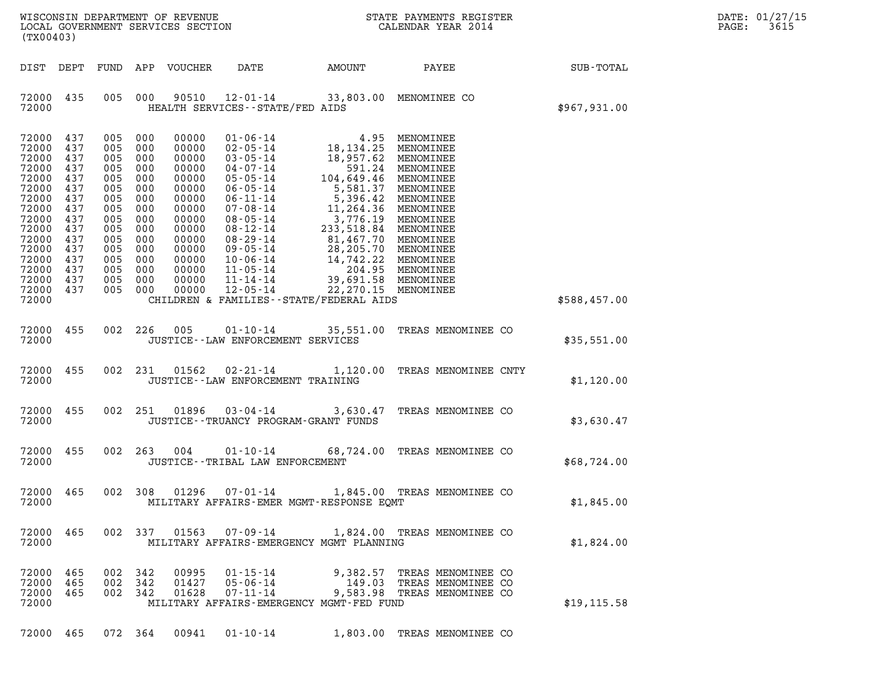| DATE: | 01/27/15 |
|-------|----------|
| PAGE: | 3615     |

| ${\tt WISCOONSIM} \begin{tabular}{lcccc} DEPARTMENT OF REVENUE & & & & & & & \begin{tabular}{l} \bf STATE} & \bf PAYMENTS & \bf REGISTER \\ \hline \bf LOCAL GOVERNMENT SERVICES & \bf SECTION & & & & & & \begin{tabular}{l} \bf CALENDAR & \bf YEAR & 2014 \end{tabular} \end{tabular}$<br>(TX00403) |                                                                                                              |                                                                                                              |                                                                                                              |                                                                                                                                              |                                                                                                                                                                                                                                                                                              |                                                                                                                                                                                                                                                                                                                     |                                                                                                               | DATE: 01/27/15<br>3615<br>PAGE: |  |
|--------------------------------------------------------------------------------------------------------------------------------------------------------------------------------------------------------------------------------------------------------------------------------------------------------|--------------------------------------------------------------------------------------------------------------|--------------------------------------------------------------------------------------------------------------|--------------------------------------------------------------------------------------------------------------|----------------------------------------------------------------------------------------------------------------------------------------------|----------------------------------------------------------------------------------------------------------------------------------------------------------------------------------------------------------------------------------------------------------------------------------------------|---------------------------------------------------------------------------------------------------------------------------------------------------------------------------------------------------------------------------------------------------------------------------------------------------------------------|---------------------------------------------------------------------------------------------------------------|---------------------------------|--|
|                                                                                                                                                                                                                                                                                                        |                                                                                                              |                                                                                                              |                                                                                                              |                                                                                                                                              |                                                                                                                                                                                                                                                                                              |                                                                                                                                                                                                                                                                                                                     |                                                                                                               |                                 |  |
| DIST DEPT                                                                                                                                                                                                                                                                                              |                                                                                                              | FUND                                                                                                         |                                                                                                              | APP VOUCHER                                                                                                                                  | DATE                                                                                                                                                                                                                                                                                         | AMOUNT                                                                                                                                                                                                                                                                                                              | PAYEE                                                                                                         | SUB-TOTAL                       |  |
| 72000 435<br>72000                                                                                                                                                                                                                                                                                     |                                                                                                              | 005                                                                                                          | 000                                                                                                          | 90510                                                                                                                                        | 12-01-14<br>HEALTH SERVICES - - STATE/FED AIDS                                                                                                                                                                                                                                               |                                                                                                                                                                                                                                                                                                                     | 33,803.00 MENOMINEE CO                                                                                        | \$967,931.00                    |  |
| 72000<br>72000<br>72000<br>72000<br>72000<br>72000<br>72000<br>72000<br>72000<br>72000<br>72000<br>72000<br>72000<br>72000<br>72000<br>72000<br>72000                                                                                                                                                  | 437<br>437<br>437<br>437<br>437<br>437<br>437<br>437<br>437<br>437<br>437<br>437<br>437<br>437<br>437<br>437 | 005<br>005<br>005<br>005<br>005<br>005<br>005<br>005<br>005<br>005<br>005<br>005<br>005<br>005<br>005<br>005 | 000<br>000<br>000<br>000<br>000<br>000<br>000<br>000<br>000<br>000<br>000<br>000<br>000<br>000<br>000<br>000 | 00000<br>00000<br>00000<br>00000<br>00000<br>00000<br>00000<br>00000<br>00000<br>00000<br>00000<br>00000<br>00000<br>00000<br>00000<br>00000 | $01 - 06 - 14$<br>$02 - 05 - 14$<br>$03 - 05 - 14$<br>$04 - 07 - 14$<br>$05 - 05 - 14$<br>$06 - 05 - 14$<br>$06 - 11 - 14$<br>$07 - 08 - 14$<br>$08 - 05 - 14$<br>$08 - 12 - 14$<br>$08 - 29 - 14$<br>$09 - 05 - 14$<br>$10 - 06 - 14$<br>$11 - 05 - 14$<br>$11 - 14 - 14$<br>$12 - 05 - 14$ | 4.95<br>18,134.25<br>18,957.62<br>591.24<br>104,649.46 MENOMINEE<br>5,581.37<br>11,264.36<br>3,776.19<br>233,518.84 MENOMINEE<br>81,467.70 MENOMINEE<br>28,205.70 MENOMINEE<br>14,742.22 MENOMINEE<br>204.95 MENOMINEE<br>39,691.58 MENOMINEE<br>22, 270.15 MENOMINEE<br>CHILDREN & FAMILIES - - STATE/FEDERAL AIDS | MENOMINEE<br>MENOMINEE<br>MENOMINEE<br>MENOMINEE<br>MENOMINEE<br>5,396.42 MENOMINEE<br>MENOMINEE<br>MENOMINEE | \$588,457.00                    |  |
| 72000<br>72000                                                                                                                                                                                                                                                                                         | 455                                                                                                          |                                                                                                              | 002 226                                                                                                      | 005                                                                                                                                          | $01 - 10 - 14$<br>JUSTICE - - LAW ENFORCEMENT SERVICES                                                                                                                                                                                                                                       |                                                                                                                                                                                                                                                                                                                     | 35,551.00 TREAS MENOMINEE CO                                                                                  | \$35,551.00                     |  |
| 72000<br>72000                                                                                                                                                                                                                                                                                         | 455                                                                                                          |                                                                                                              | 002 231                                                                                                      | 01562                                                                                                                                        | $02 - 21 - 14$<br>JUSTICE -- LAW ENFORCEMENT TRAINING                                                                                                                                                                                                                                        |                                                                                                                                                                                                                                                                                                                     | 1,120.00 TREAS MENOMINEE CNTY                                                                                 | \$1,120.00                      |  |
| 72000<br>72000                                                                                                                                                                                                                                                                                         | 455                                                                                                          |                                                                                                              | 002 251                                                                                                      | 01896                                                                                                                                        | $03 - 04 - 14$                                                                                                                                                                                                                                                                               | 3,630.47<br>JUSTICE - - TRUANCY PROGRAM - GRANT FUNDS                                                                                                                                                                                                                                                               | TREAS MENOMINEE CO                                                                                            | \$3,630.47                      |  |
| 72000<br>72000                                                                                                                                                                                                                                                                                         | 455                                                                                                          | 002 263                                                                                                      |                                                                                                              | 004                                                                                                                                          | $01 - 10 - 14$<br>JUSTICE - - TRIBAL LAW ENFORCEMENT                                                                                                                                                                                                                                         |                                                                                                                                                                                                                                                                                                                     | 68,724.00 TREAS MENOMINEE CO                                                                                  | \$68,724.00                     |  |
| 72000                                                                                                                                                                                                                                                                                                  | 72000 465                                                                                                    |                                                                                                              | 002 308                                                                                                      |                                                                                                                                              |                                                                                                                                                                                                                                                                                              | MILITARY AFFAIRS-EMER MGMT-RESPONSE EQMT                                                                                                                                                                                                                                                                            | 01296  07-01-14  1,845.00 TREAS MENOMINEE CO                                                                  | \$1,845.00                      |  |
| 72000 465<br>72000                                                                                                                                                                                                                                                                                     |                                                                                                              |                                                                                                              |                                                                                                              |                                                                                                                                              |                                                                                                                                                                                                                                                                                              | MILITARY AFFAIRS-EMERGENCY MGMT PLANNING                                                                                                                                                                                                                                                                            | 002 337 01563 07-09-14 1,824.00 TREAS MENOMINEE CO                                                            | \$1,824.00                      |  |
| 72000 465<br>72000 465<br>72000 465<br>72000                                                                                                                                                                                                                                                           |                                                                                                              | 002 342<br>002 342                                                                                           | 002 342                                                                                                      | 00995<br>01427<br>01628                                                                                                                      | $01 - 15 - 14$<br>05-06-14<br>$07 - 11 - 14$                                                                                                                                                                                                                                                 | MILITARY AFFAIRS-EMERGENCY MGMT-FED FUND                                                                                                                                                                                                                                                                            | 9,382.57 TREAS MENOMINEE CO<br>149.03 TREAS MENOMINEE CO<br>9,583.98 TREAS MENOMINEE CO                       | \$19, 115.58                    |  |
|                                                                                                                                                                                                                                                                                                        |                                                                                                              |                                                                                                              |                                                                                                              |                                                                                                                                              |                                                                                                                                                                                                                                                                                              |                                                                                                                                                                                                                                                                                                                     | 72000 465 072 364 00941 01-10-14 1,803.00 TREAS MENOMINEE CO                                                  |                                 |  |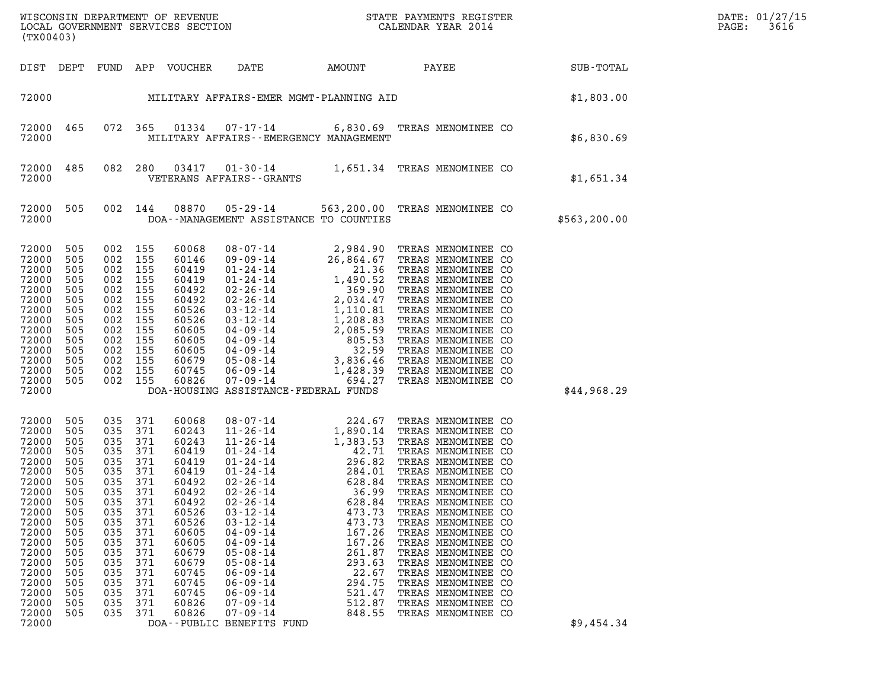| (TX00403)                                                                                                                                                                                 |                                                                                                                                          |                                                                                                                                          |                                                                                                                                          |                                                                                                                                                                                  |                                                                                                                                                                                                                                                                                       |                                                                                                                                        |                                                                                                                                                                                                                                                                                                                                                                                                                                                                                                                                                               |              | DATE: 01/27/15<br>3616<br>PAGE: |
|-------------------------------------------------------------------------------------------------------------------------------------------------------------------------------------------|------------------------------------------------------------------------------------------------------------------------------------------|------------------------------------------------------------------------------------------------------------------------------------------|------------------------------------------------------------------------------------------------------------------------------------------|----------------------------------------------------------------------------------------------------------------------------------------------------------------------------------|---------------------------------------------------------------------------------------------------------------------------------------------------------------------------------------------------------------------------------------------------------------------------------------|----------------------------------------------------------------------------------------------------------------------------------------|---------------------------------------------------------------------------------------------------------------------------------------------------------------------------------------------------------------------------------------------------------------------------------------------------------------------------------------------------------------------------------------------------------------------------------------------------------------------------------------------------------------------------------------------------------------|--------------|---------------------------------|
| DIST DEPT                                                                                                                                                                                 |                                                                                                                                          |                                                                                                                                          |                                                                                                                                          | FUND APP VOUCHER                                                                                                                                                                 | DATE                                                                                                                                                                                                                                                                                  | AMOUNT                                                                                                                                 | PAYEE SUB-TOTAL                                                                                                                                                                                                                                                                                                                                                                                                                                                                                                                                               |              |                                 |
| 72000<br>MILITARY AFFAIRS-EMER MGMT-PLANNING AID                                                                                                                                          |                                                                                                                                          |                                                                                                                                          |                                                                                                                                          |                                                                                                                                                                                  |                                                                                                                                                                                                                                                                                       |                                                                                                                                        | \$1,803.00                                                                                                                                                                                                                                                                                                                                                                                                                                                                                                                                                    |              |                                 |
| 72000<br>72000                                                                                                                                                                            | 465                                                                                                                                      | 072 365                                                                                                                                  |                                                                                                                                          | 01334                                                                                                                                                                            |                                                                                                                                                                                                                                                                                       | MILITARY AFFAIRS - - EMERGENCY MANAGEMENT                                                                                              | 07-17-14 6,830.69 TREAS MENOMINEE CO                                                                                                                                                                                                                                                                                                                                                                                                                                                                                                                          | \$6,830.69   |                                 |
| 72000<br>72000                                                                                                                                                                            | 485                                                                                                                                      | 082 280                                                                                                                                  |                                                                                                                                          | 03417                                                                                                                                                                            | VETERANS AFFAIRS - - GRANTS                                                                                                                                                                                                                                                           |                                                                                                                                        | 01-30-14 1,651.34 TREAS MENOMINEE CO                                                                                                                                                                                                                                                                                                                                                                                                                                                                                                                          | \$1,651.34   |                                 |
| 72000<br>72000                                                                                                                                                                            | 505                                                                                                                                      | 002 144                                                                                                                                  |                                                                                                                                          | 08870                                                                                                                                                                            | $05 - 29 - 14$                                                                                                                                                                                                                                                                        | DOA--MANAGEMENT ASSISTANCE TO COUNTIES                                                                                                 | 563,200.00 TREAS MENOMINEE CO                                                                                                                                                                                                                                                                                                                                                                                                                                                                                                                                 | \$563,200.00 |                                 |
| 72000<br>72000<br>72000<br>72000<br>72000<br>72000<br>72000<br>72000<br>72000<br>72000<br>72000<br>72000<br>72000<br>72000<br>72000                                                       | 505<br>505<br>505<br>505<br>505<br>505<br>505<br>505<br>505<br>505<br>505<br>505<br>505<br>505                                           | 002 155<br>002 155<br>002<br>002<br>002<br>002<br>002<br>002<br>002<br>002<br>002<br>002 155<br>002<br>002 155                           | 155<br>155<br>155<br>155<br>155<br>155<br>155<br>155<br>155<br>155                                                                       | 60068<br>60146<br>60419<br>60419<br>60492<br>60492<br>60526<br>60526<br>60605<br>60605<br>60605<br>60679<br>60745<br>60826                                                       | $07 - 09 - 14$<br>DOA-HOUSING ASSISTANCE-FEDERAL FUNDS                                                                                                                                                                                                                                | 694.27                                                                                                                                 | TREAS MENOMINEE CO                                                                                                                                                                                                                                                                                                                                                                                                                                                                                                                                            | \$44,968.29  |                                 |
| 72000<br>72000<br>72000<br>72000<br>72000<br>72000<br>72000<br>72000<br>72000<br>72000<br>72000<br>72000<br>72000<br>72000<br>72000<br>72000<br>72000<br>72000<br>72000<br>72000<br>72000 | 505<br>505<br>505<br>505<br>505<br>505<br>505<br>505<br>505<br>505<br>505<br>505<br>505<br>505<br>505<br>505<br>505<br>505<br>505<br>505 | 035<br>035<br>035<br>035<br>035<br>035<br>035<br>035<br>035<br>035<br>035<br>035<br>035<br>035<br>035<br>035<br>035<br>035<br>035<br>035 | 371<br>371<br>371<br>371<br>371<br>371<br>371<br>371<br>371<br>371<br>371<br>371<br>371<br>371<br>371<br>371<br>371<br>371<br>371<br>371 | 60068<br>60243<br>60243<br>60419<br>60419<br>60419<br>60492<br>60492<br>60492<br>60526<br>60526<br>60605<br>60605<br>60679<br>60679<br>60745<br>60745<br>60745<br>60826<br>60826 | $02 - 26 - 14$<br>$02 - 26 - 14$<br>$02 - 26 - 14$<br>$03 - 12 - 14$<br>$03 - 12 - 14$<br>$04 - 09 - 14$<br>$04 - 09 - 14$<br>$05 - 08 - 14$<br>$05 - 08 - 14$<br>$06 - 09 - 14$<br>$06 - 09 - 14$<br>$06 - 09 - 14$<br>$07 - 09 - 14$<br>$07 - 09 - 14$<br>DOA--PUBLIC BENEFITS FUND | 628.84<br>36.99<br>628.84<br>473.73<br>473.73<br>167.26<br>167.26<br>261.87<br>293.63<br>22.67<br>294.75<br>521.47<br>512.87<br>848.55 | 08-07-14<br>1,890.14 TREAS MENOMINEE CO<br>11-26-14 1,890.14 TREAS MENOMINEE CO<br>11-26-14 1,383.53 TREAS MENOMINEE CO<br>01-24-14 296.82 TREAS MENOMINEE CO<br>01-24-14 284.01 TREAS MENOMINEE CO<br>01-24-14 284.01 TREAS MENOMINEE CO<br>TREAS MENOMINEE CO<br>TREAS MENOMINEE CO<br>TREAS MENOMINEE CO<br>TREAS MENOMINEE CO<br>TREAS MENOMINEE CO<br>TREAS MENOMINEE CO<br>TREAS MENOMINEE CO<br>TREAS MENOMINEE CO<br>TREAS MENOMINEE CO<br>TREAS MENOMINEE CO<br>TREAS MENOMINEE CO<br>TREAS MENOMINEE CO<br>TREAS MENOMINEE CO<br>TREAS MENOMINEE CO | \$9,454.34   |                                 |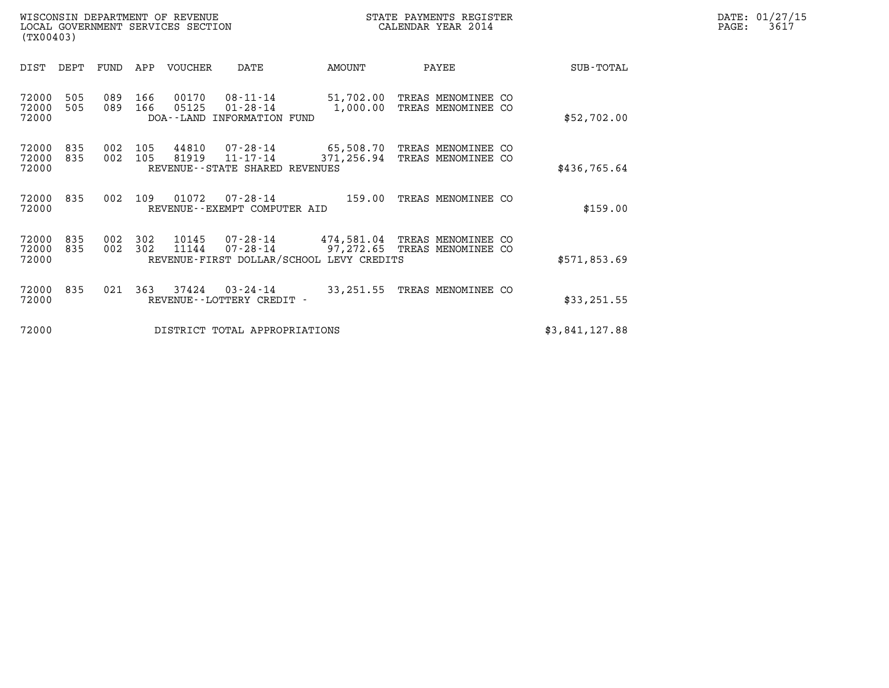| WISCONSIN DEPARTMENT OF REVENUE   | STATE PAYMENTS REGISTER | DATE: 01/27/15 |
|-----------------------------------|-------------------------|----------------|
| LOCAL GOVERNMENT SERVICES SECTION | CALENDAR YEAR 2014      | 3617<br>PAGE:  |

| (TX00403)               |            |            |            |                |                                                          |                         |                                                                                 |                |
|-------------------------|------------|------------|------------|----------------|----------------------------------------------------------|-------------------------|---------------------------------------------------------------------------------|----------------|
| DIST                    | DEPT       | FUND       | APP        | <b>VOUCHER</b> | DATE                                                     | AMOUNT                  | PAYEE                                                                           | SUB-TOTAL      |
| 72000<br>72000<br>72000 | 505<br>505 | 089<br>089 | 166<br>166 | 00170<br>05125 | 08-11-14<br>$01 - 28 - 14$<br>DOA--LAND INFORMATION FUND | 51,702.00<br>1,000.00   | TREAS MENOMINEE CO<br>TREAS MENOMINEE CO                                        | \$52,702.00    |
| 72000<br>72000<br>72000 | 835<br>835 | 002<br>002 | 105<br>105 | 44810<br>81919 | 07-28-14<br>11-17-14<br>REVENUE--STATE SHARED REVENUES   | 65,508.70<br>371,256.94 | TREAS MENOMINEE CO<br>TREAS MENOMINEE CO                                        | \$436,765.64   |
| 72000<br>72000          | 835        | 002        | 109        | 01072          | $07 - 28 - 14$<br>REVENUE--EXEMPT COMPUTER AID           | 159.00                  | TREAS MENOMINEE CO                                                              | \$159.00       |
| 72000<br>72000<br>72000 | 835<br>835 | 002<br>002 | 302<br>302 | 11144          | 07-28-14<br>REVENUE-FIRST DOLLAR/SCHOOL LEVY CREDITS     |                         | 10145  07-28-14  474,581.04  TREAS MENOMINEE CO<br>97,272.65 TREAS MENOMINEE CO | \$571,853.69   |
| 72000<br>72000          | 835        | 021        | 363        | 37424          | $03 - 24 - 14$<br>REVENUE--LOTTERY CREDIT -              | 33,251.55               | TREAS MENOMINEE CO                                                              | \$33,251.55    |
| 72000                   |            |            |            |                | DISTRICT TOTAL APPROPRIATIONS                            |                         |                                                                                 | \$3,841,127.88 |